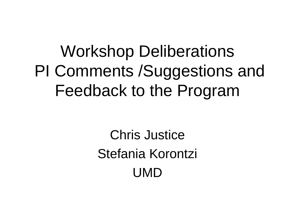### Workshop Deliberations PI Comments /Suggestions and Feedback to the Program

Chris Justice Stefania Korontzi UMD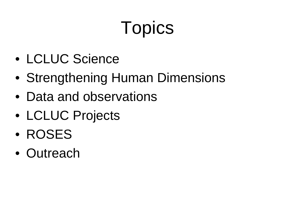# **Topics**

- LCLUC Science
- Strengthening Human Dimensions
- Data and observations
- LCLUC Projects
- ROSES
- Outreach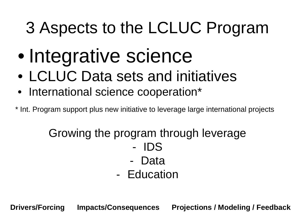### 3 Aspects to the LCLUC Program

- Integrative science
- LCLUC Data sets and initiatives
- International science cooperation\*
- \* Int. Program support plus new initiative to leverage large international projects

### Growing the program through leverage

- IDS
- **Data**
- Education

**Drivers/Forcing Impacts/Consequences Projections / Modeling / Feedback**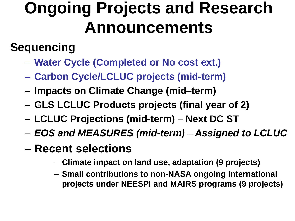### **Ongoing Projects and Research Announcements**

#### **Sequencing**

- **Water Cycle (Completed or No cost ext.)**
- **Carbon Cycle/LCLUC projects (mid-term)**
- **Impacts on Climate Change (mid–term)**
- **GLS LCLUC Products projects (final year of 2)**
- **LCLUC Projections (mid-term) – Next DC ST**
- *EOS and MEASURES (mid-term) – Assigned to LCLUC*
- **Recent selections** 
	- **Climate impact on land use, adaptation (9 projects)**
	- **Small contributions to non-NASA ongoing international projects under NEESPI and MAIRS programs (9 projects)**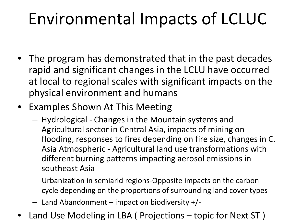### Environmental Impacts of LCLUC

- The program has demonstrated that in the past decades rapid and significant changes in the LCLU have occurred at local to regional scales with significant impacts on the physical environment and humans
- Examples Shown At This Meeting
	- Hydrological Changes in the Mountain systems and Agricultural sector in Central Asia, impacts of mining on flooding, responses to fires depending on fire size, changes in C. Asia Atmospheric - Agricultural land use transformations with different burning patterns impacting aerosol emissions in southeast Asia
	- Urbanization in semiarid regions-Opposite impacts on the carbon cycle depending on the proportions of surrounding land cover types
	- $-$  Land Abandonment impact on biodiversity  $+$ /-
- Land Use Modeling in LBA ( Projections topic for Next ST )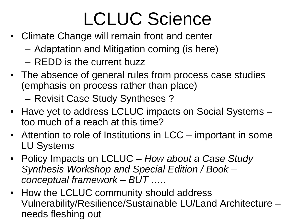## LCLUC Science

- Climate Change will remain front and center
	- Adaptation and Mitigation coming (is here)
	- REDD is the current buzz
- The absence of general rules from process case studies (emphasis on process rather than place)

– Revisit Case Study Syntheses ?

- Have yet to address LCLUC impacts on Social Systems too much of a reach at this time?
- Attention to role of Institutions in LCC important in some LU Systems
- Policy Impacts on LCLUC *How about a Case Study Synthesis Workshop and Special Edition / Book – conceptual framework – BUT …..*
- How the LCLUC community should address Vulnerability/Resilience/Sustainable LU/Land Architecture – needs fleshing out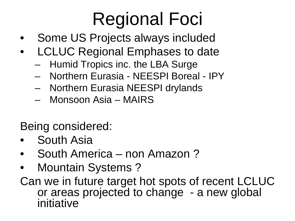## Regional Foci

- Some US Projects always included
- LCLUC Regional Emphases to date
	- Humid Tropics inc. the LBA Surge
	- Northern Eurasia NEESPI Boreal IPY
	- Northern Eurasia NEESPI drylands
	- Monsoon Asia MAIRS
- Being considered:
- South Asia
- South America non Amazon?
- Mountain Systems ?

Can we in future target hot spots of recent LCLUC or areas projected to change - a new global initiative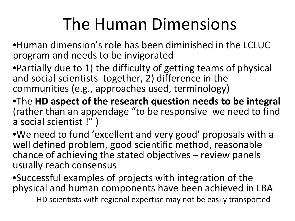### The Human Dimensions

•Human dimension's role has been diminished in the LCLUC program and needs to be invigorated

•Partially due to 1) the difficulty of getting teams of physical and social scientists together, 2) difference in the communities (e.g., approaches used, terminology)

•The **HD aspect of the research question needs to be integral** (rather than an appendage "to be responsive we need to find a social scientist !" )

•We need to fund 'excellent and very good' proposals with a well defined problem, good scientific method, reasonable chance of achieving the stated objectives – review panels usually reach consensus

•Successful examples of projects with integration of the physical and human components have been achieved in LBA

– HD scientists with regional expertise may not be easily transported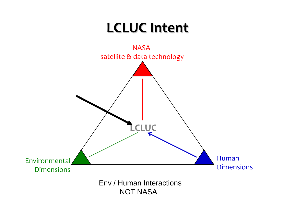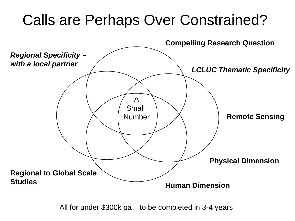### Calls are Perhaps Over Constrained?



All for under \$300k pa – to be completed in 3-4 years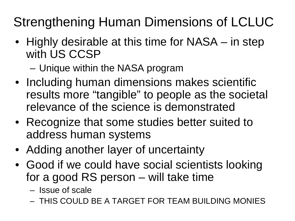### Strengthening Human Dimensions of LCLUC

- Highly desirable at this time for NASA in step with US CCSP
	- Unique within the NASA program
- Including human dimensions makes scientific results more "tangible" to people as the societal relevance of the science is demonstrated
- Recognize that some studies better suited to address human systems
- Adding another layer of uncertainty
- Good if we could have social scientists looking for a good RS person – will take time
	- Issue of scale
	- THIS COULD BE A TARGET FOR TEAM BUILDING MONIES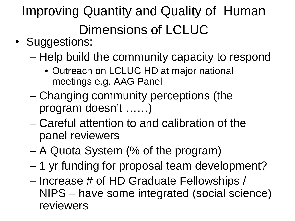Improving Quantity and Quality of Human Dimensions of LCLUC

- Suggestions:
	- Help build the community capacity to respond
		- Outreach on LCLUC HD at major national meetings e.g. AAG Panel
	- Changing community perceptions (the program doesn't ……)
	- Careful attention to and calibration of the panel reviewers
	- A Quota System (% of the program)
	- 1 yr funding for proposal team development?
	- Increase # of HD Graduate Fellowships / NIPS – have some integrated (social science) reviewers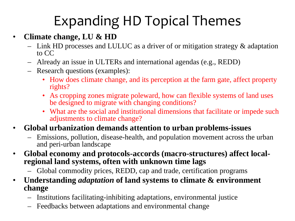### Expanding HD Topical Themes

#### • **Climate change, LU & HD**

- Link HD processes and LULUC as a driver of or mitigation strategy & adaptation to CC
- Already an issue in ULTERs and international agendas (e.g., REDD)
- Research questions (examples):
	- How does climate change, and its perception at the farm gate, affect property rights?
	- As cropping zones migrate poleward, how can flexible systems of land uses be designed to migrate with changing conditions?
	- What are the social and institutional dimensions that facilitate or impede such adjustments to climate change?
- **Global urbanization demands attention to urban problems-issues**
	- Emissions, pollution, disease-health, and population movement across the urban and peri-urban landscape
- **Global economy and protocols-accords (macro-structures) affect local- regional land systems, often with unknown time lags**
	- Global commodity prices, REDD, cap and trade, certification programs
- **Understanding** *adaptation* **of land systems to climate & environment change**
	- Institutions facilitating-inhibiting adaptations, environmental justice
	- Feedbacks between adaptations and environmental change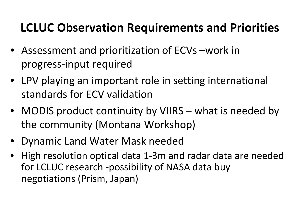#### **LCLUC Observation Requirements and Priorities**

- Assessment and prioritization of ECVs –work in progress-input required
- LPV playing an important role in setting international standards for ECV validation
- MODIS product continuity by VIIRS what is needed by the community (Montana Workshop)
- Dynamic Land Water Mask needed
- High resolution optical data 1-3m and radar data are needed for LCLUC research -possibility of NASA data buy negotiations (Prism, Japan)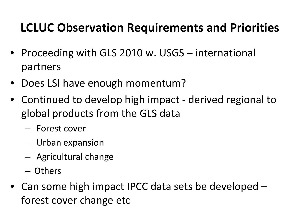#### **LCLUC Observation Requirements and Priorities**

- Proceeding with GLS 2010 w. USGS international partners
- Does LSI have enough momentum?
- Continued to develop high impact derived regional to global products from the GLS data
	- Forest cover
	- Urban expansion
	- Agricultural change
	- Others
- Can some high impact IPCC data sets be developed forest cover change etc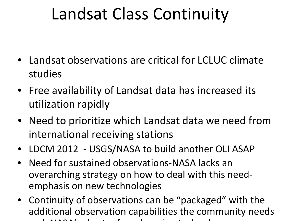### Landsat Class Continuity

- Landsat observations are critical for LCLUC climate studies
- Free availability of Landsat data has increased its utilization rapidly
- Need to prioritize which Landsat data we need from international receiving stations
- LDCM 2012 USGS/NASA to build another OLI ASAP
- Need for sustained observations-NASA lacks an overarching strategy on how to deal with this needemphasis on new technologies
- Continuity of observations can be "packaged" with the additional observation capabilities the community needs  $\mathbf{A}$   $\mathbf{A}$   $\mathbf{A}$   $\mathbf{A}$   $\mathbf{A}$   $\mathbf{A}$   $\mathbf{A}$   $\mathbf{A}$   $\mathbf{A}$   $\mathbf{A}$   $\mathbf{A}$   $\mathbf{A}$   $\mathbf{A}$   $\mathbf{A}$   $\mathbf{A}$   $\mathbf{A}$   $\mathbf{A}$   $\mathbf{A}$   $\mathbf{A}$   $\mathbf{A}$   $\mathbf{A}$   $\mathbf{A}$   $\mathbf{A}$   $\mathbf{A}$   $\mathbf{$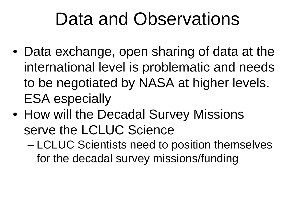### Data and Observations

- Data exchange, open sharing of data at the international level is problematic and needs to be negotiated by NASA at higher levels. ESA especially
- How will the Decadal Survey Missions serve the LCLUC Science
	- LCLUC Scientists need to position themselves for the decadal survey missions/funding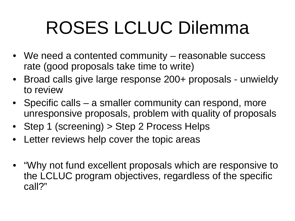## ROSES LCLUC Dilemma

- We need a contented community reasonable success rate (good proposals take time to write)
- Broad calls give large response 200+ proposals unwieldy to review
- Specific calls a smaller community can respond, more unresponsive proposals, problem with quality of proposals
- Step 1 (screening) > Step 2 Process Helps
- Letter reviews help cover the topic areas
- "Why not fund excellent proposals which are responsive to the LCLUC program objectives, regardless of the specific call?"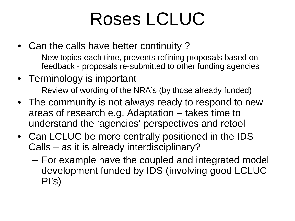### Roses LCLUC

- Can the calls have better continuity?
	- New topics each time, prevents refining proposals based on feedback - proposals re-submitted to other funding agencies
- Terminology is important
	- Review of wording of the NRA's (by those already funded)
- The community is not always ready to respond to new areas of research e.g. Adaptation – takes time to understand the 'agencies' perspectives and retool
- Can LCLUC be more centrally positioned in the IDS Calls – as it is already interdisciplinary?
	- For example have the coupled and integrated model development funded by IDS (involving good LCLUC PI's)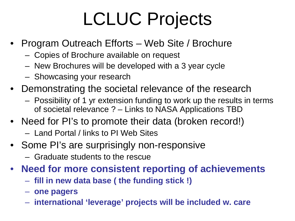## LCLUC Projects

- Program Outreach Efforts Web Site / Brochure
	- Copies of Brochure available on request
	- New Brochures will be developed with a 3 year cycle
	- Showcasing your research
- Demonstrating the societal relevance of the research
	- Possibility of 1 yr extension funding to work up the results in terms of societal relevance ? – Links to NASA Applications TBD
- Need for PI's to promote their data (broken record!)
	- Land Portal / links to PI Web Sites
- Some PI's are surprisingly non-responsive
	- Graduate students to the rescue
- **Need for more consistent reporting of achievements** 
	- **fill in new data base ( the funding stick !)**
	- **one pagers**
	- **international 'leverage' projects will be included w. care**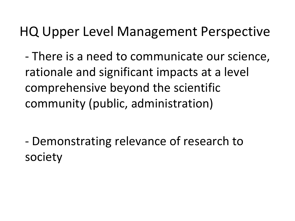### HQ Upper Level Management Perspective

- There is a need to communicate our science, rationale and significant impacts at a level comprehensive beyond the scientific community (public, administration)

- Demonstrating relevance of research to society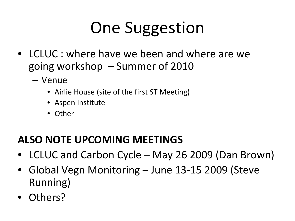### One Suggestion

- LCLUC : where have we been and where are we going workshop – Summer of 2010
	- Venue
		- Airlie House (site of the first ST Meeting)
		- Aspen Institute
		- Other

#### **ALSO NOTE UPCOMING MEETINGS**

- LCLUC and Carbon Cycle May 26 2009 (Dan Brown)
- Global Vegn Monitoring June 13-15 2009 (Steve Running)
- Others?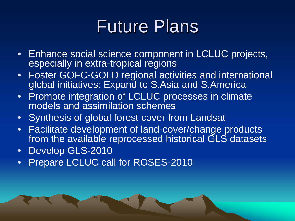### Future Plans

- Enhance social science component in LCLUC projects, especially in extra-tropical regions
- Foster GOFC-GOLD regional activities and international global initiatives: Expand to S.Asia and S.America
- Promote integration of LCLUC processes in climate models and assimilation schemes
- Synthesis of global forest cover from Landsat
- Facilitate development of land-cover/change products from the available reprocessed historical GLS datasets
- Develop GLS-2010
- Prepare LCLUC call for ROSES-2010